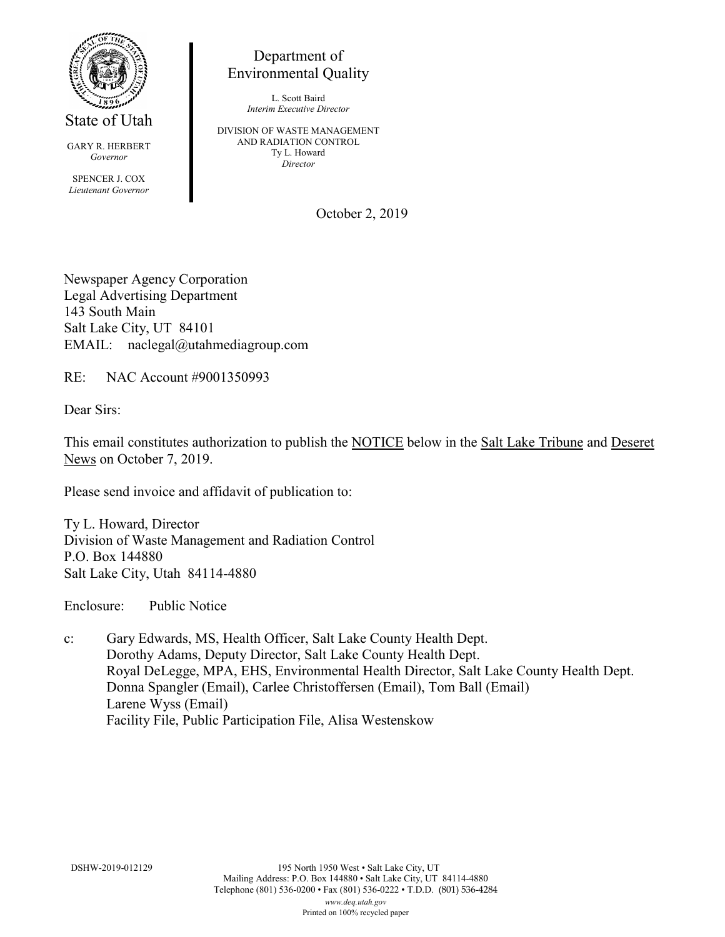

State of Utah

GARY R. HERBERT *Governor* SPENCER J. COX *Lieutenant Governor*

Department of Environmental Quality

> L. Scott Baird *Interim Executive Director*

DIVISION OF WASTE MANAGEMENT AND RADIATION CONTROL Ty L. Howard *Director*

October 2, 2019

Newspaper Agency Corporation Legal Advertising Department 143 South Main Salt Lake City, UT 84101 EMAIL: naclegal@utahmediagroup.com

RE: NAC Account #9001350993

Dear Sirs:

This email constitutes authorization to publish the NOTICE below in the Salt Lake Tribune and Deseret News on October 7, 2019.

Please send invoice and affidavit of publication to:

Ty L. Howard, Director Division of Waste Management and Radiation Control P.O. Box 144880 Salt Lake City, Utah 84114-4880

Enclosure: Public Notice

c: Gary Edwards, MS, Health Officer, Salt Lake County Health Dept. Dorothy Adams, Deputy Director, Salt Lake County Health Dept. Royal DeLegge, MPA, EHS, Environmental Health Director, Salt Lake County Health Dept. Donna Spangler (Email), Carlee Christoffersen (Email), Tom Ball (Email) Larene Wyss (Email) Facility File, Public Participation File, Alisa Westenskow